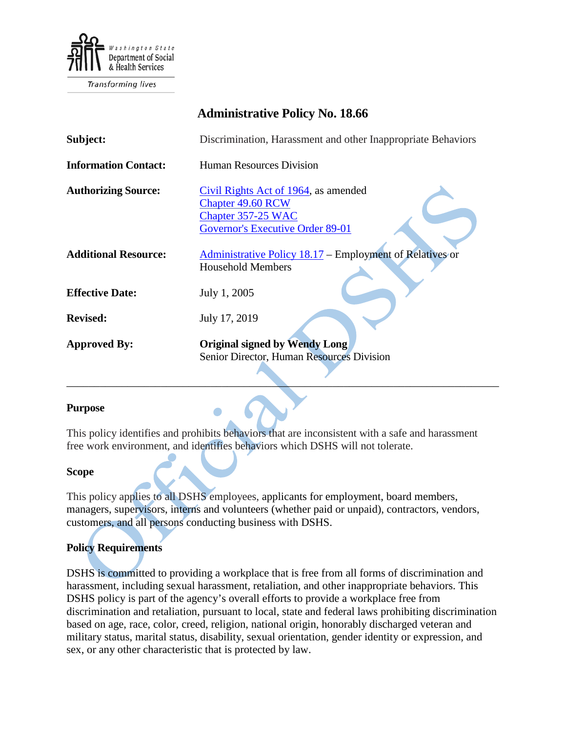

Transforming lives

# **Administrative Policy No. 18.66**

| Subject:                    | Discrimination, Harassment and other Inappropriate Behaviors                                                               |
|-----------------------------|----------------------------------------------------------------------------------------------------------------------------|
| <b>Information Contact:</b> | Human Resources Division                                                                                                   |
| <b>Authorizing Source:</b>  | Civil Rights Act of 1964, as amended<br><b>Chapter 49.60 RCW</b><br>Chapter 357-25 WAC<br>Governor's Executive Order 89-01 |
| <b>Additional Resource:</b> | Administrative Policy 18.17 – Employment of Relatives or<br><b>Household Members</b>                                       |
| <b>Effective Date:</b>      | July 1, 2005                                                                                                               |
| <b>Revised:</b>             | July 17, 2019                                                                                                              |
| <b>Approved By:</b>         | <b>Original signed by Wendy Long</b><br>Senior Director, Human Resources Division                                          |

#### **Purpose**

This policy identifies and prohibits behaviors that are inconsistent with a safe and harassment free work environment, and identifies behaviors which DSHS will not tolerate.

 $\Box$ 

#### **Scope**

This policy applies to all DSHS employees, applicants for employment, board members, managers, supervisors, interns and volunteers (whether paid or unpaid), contractors, vendors, customers, and all persons conducting business with DSHS.

## **Policy Requirements**

DSHS is committed to providing a workplace that is free from all forms of discrimination and harassment, including sexual harassment, retaliation, and other inappropriate behaviors. This DSHS policy is part of the agency's overall efforts to provide a workplace free from discrimination and retaliation, pursuant to local, state and federal laws prohibiting discrimination based on age, race, color, creed, religion, national origin, honorably discharged veteran and military status, marital status, disability, sexual orientation, gender identity or expression, and sex, or any other characteristic that is protected by law.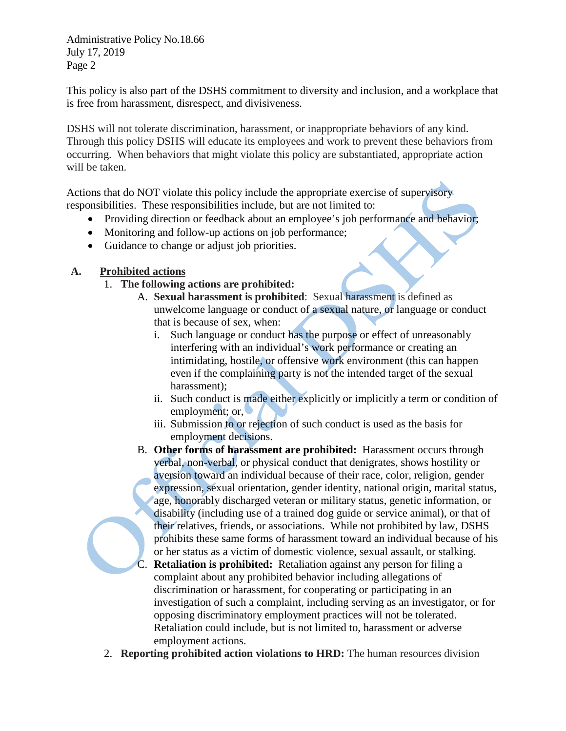Administrative Policy No.18.66 July 17, 2019 Page 2

This policy is also part of the DSHS commitment to diversity and inclusion, and a workplace that is free from harassment, disrespect, and divisiveness.

DSHS will not tolerate discrimination, harassment, or inappropriate behaviors of any kind. Through this policy DSHS will educate its employees and work to prevent these behaviors from occurring. When behaviors that might violate this policy are substantiated, appropriate action will be taken.

Actions that do NOT violate this policy include the appropriate exercise of supervisory responsibilities. These responsibilities include, but are not limited to:

- Providing direction or feedback about an employee's job performance and behavior;
- Monitoring and follow-up actions on job performance;
- Guidance to change or adjust job priorities.

# **A. Prohibited actions**

- 1. **The following actions are prohibited:**
	- A. **Sexual harassment is prohibited**: Sexual harassment is defined as unwelcome language or conduct of a sexual nature, or language or conduct that is because of sex, when:
		- i. Such language or conduct has the purpose or effect of unreasonably interfering with an individual's work performance or creating an intimidating, hostile, or offensive work environment (this can happen even if the complaining party is not the intended target of the sexual harassment);
		- ii. Such conduct is made either explicitly or implicitly a term or condition of employment; or,
		- iii. Submission to or rejection of such conduct is used as the basis for employment decisions.
	- B. **Other forms of harassment are prohibited:** Harassment occurs through verbal, non-verbal, or physical conduct that denigrates, shows hostility or aversion toward an individual because of their race, color, religion, gender expression, sexual orientation, gender identity, national origin, marital status, age, honorably discharged veteran or military status, genetic information, or disability (including use of a trained dog guide or service animal), or that of their relatives, friends, or associations. While not prohibited by law, DSHS prohibits these same forms of harassment toward an individual because of his or her status as a victim of domestic violence, sexual assault, or stalking.
	- C. **Retaliation is prohibited:** Retaliation against any person for filing a complaint about any prohibited behavior including allegations of discrimination or harassment, for cooperating or participating in an investigation of such a complaint, including serving as an investigator, or for opposing discriminatory employment practices will not be tolerated. Retaliation could include, but is not limited to, harassment or adverse employment actions.
- 2. **Reporting prohibited action violations to HRD:** The human resources division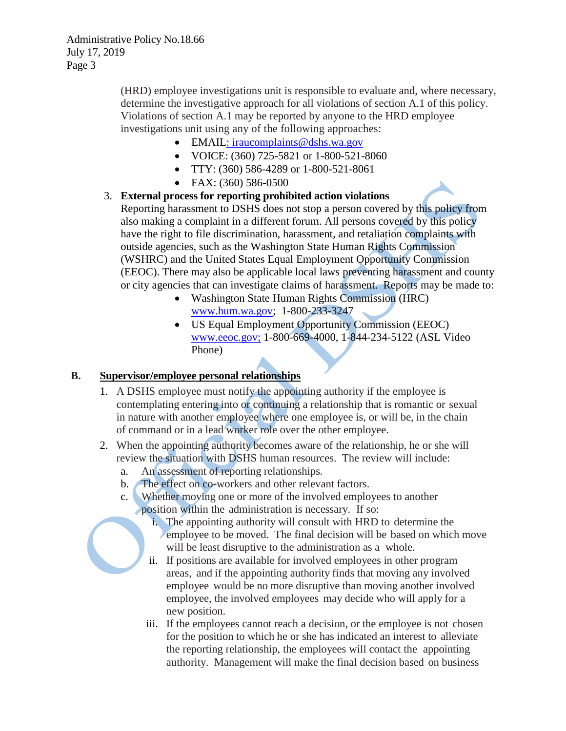(HRD) employee investigations unit is responsible to evaluate and, where necessary, determine the investigative approach for all violations of section A.1 of this policy. Violations of section A.1 may be reported by anyone to the HRD employee investigations unit using any of the following approaches:

- EMAIL: iraucomplaints@dshs.wa.gov
- VOICE: (360) 725-5821 or 1-800-521-8060
- TTY: (360) 586-4289 or 1-800-521-8061
- FAX: (360) 586-0500
- 3. **External process for reporting prohibited action violations** Reporting harassment to DSHS does not stop a person covered by this policy from also making a complaint in a different forum. All persons covered by this policy have the right to file discrimination, harassment, and retaliation complaints with outside agencies, such as the Washington State Human Rights Commission (WSHRC) and the United States Equal Employment Opportunity Commission (EEOC). There may also be applicable local laws preventing harassment and county or city agencies that can investigate claims of harassment. Reports may be made to:
	- Washington State Human Rights Commission (HRC) [www.hum.wa.gov;](http://www.hum.wa.gov/) 1-800-233-3247
	- US Equal Employment Opportunity Commission (EEOC) [www.eeoc.gov;](http://www.eeoc.gov/) 1-800-669-4000, 1-844-234-5122 (ASL Video Phone)

## **B. Supervisor/employee personal relationships**

- 1. A DSHS employee must notify the appointing authority if the employee is contemplating entering into or continuing a relationship that is romantic or sexual in nature with another employee where one employee is, or will be, in the chain of command or in a lead worker role over the other employee.
- 2. When the appointing authority becomes aware of the relationship, he or she will review the situation with DSHS human resources. The review will include:
	- a. An assessment of reporting relationships.
	- b. The effect on co-workers and other relevant factors.
	- c. Whether moving one or more of the involved employees to another position within the administration is necessary. If so:
		- i. The appointing authority will consult with HRD to determine the employee to be moved. The final decision will be based on which move will be least disruptive to the administration as a whole.
		- ii. If positions are available for involved employees in other program areas, and if the appointing authority finds that moving any involved employee would be no more disruptive than moving another involved employee, the involved employees may decide who will apply for a new position.
		- iii. If the employees cannot reach a decision, or the employee is not chosen for the position to which he or she has indicated an interest to alleviate the reporting relationship, the employees will contact the appointing authority. Management will make the final decision based on business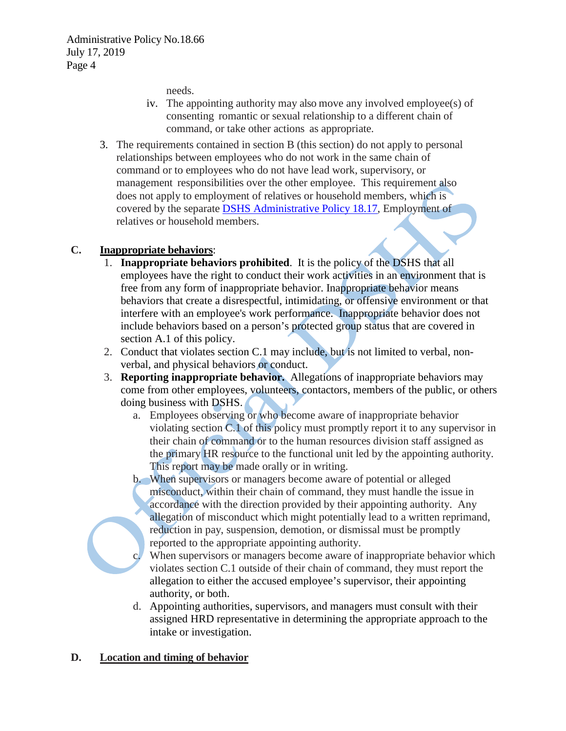needs.

- iv. The appointing authority may also move any involved employee(s) of consenting romantic or sexual relationship to a different chain of command, or take other actions as appropriate.
- 3. The requirements contained in section B (this section) do not apply to personal relationships between employees who do not work in the same chain of command or to employees who do not have lead work, supervisory, or management responsibilities over the other employee. This requirement also does not apply to employment of relatives or household members, which is covered by the separat[e DSHS Administrative Policy 18.17,](http://one.dshs.wa.lcl/Policies/Administrative/DSHS-AP-18-17.pdf) Employment of relatives or household members.

## **C. Inappropriate behaviors**:

- 1. **Inappropriate behaviors prohibited**. It is the policy of the DSHS that all employees have the right to conduct their work activities in an environment that is free from any form of inappropriate behavior. Inappropriate behavior means behaviors that create a disrespectful, intimidating, or offensive environment or that interfere with an employee's work performance. Inappropriate behavior does not include behaviors based on a person's protected group status that are covered in section A.1 of this policy.
- 2. Conduct that violates section C.1 may include, but is not limited to verbal, nonverbal, and physical behaviors or conduct.
- 3. **Reporting inappropriate behavior.** Allegations of inappropriate behaviors may come from other employees, volunteers, contactors, members of the public, or others doing business with DSHS.
	- a. Employees observing or who become aware of inappropriate behavior violating section C.1 of this policy must promptly report it to any supervisor in their chain of command or to the human resources division staff assigned as the primary HR resource to the functional unit led by the appointing authority. This report may be made orally or in writing.
	- b. When supervisors or managers become aware of potential or alleged misconduct, within their chain of command, they must handle the issue in accordance with the direction provided by their appointing authority. Any allegation of misconduct which might potentially lead to a written reprimand, reduction in pay, suspension, demotion, or dismissal must be promptly reported to the appropriate appointing authority.
	- When supervisors or managers become aware of inappropriate behavior which violates section C.1 outside of their chain of command, they must report the allegation to either the accused employee's supervisor, their appointing authority, or both.
	- d. Appointing authorities, supervisors, and managers must consult with their assigned HRD representative in determining the appropriate approach to the intake or investigation.

## **D. Location and timing of behavior**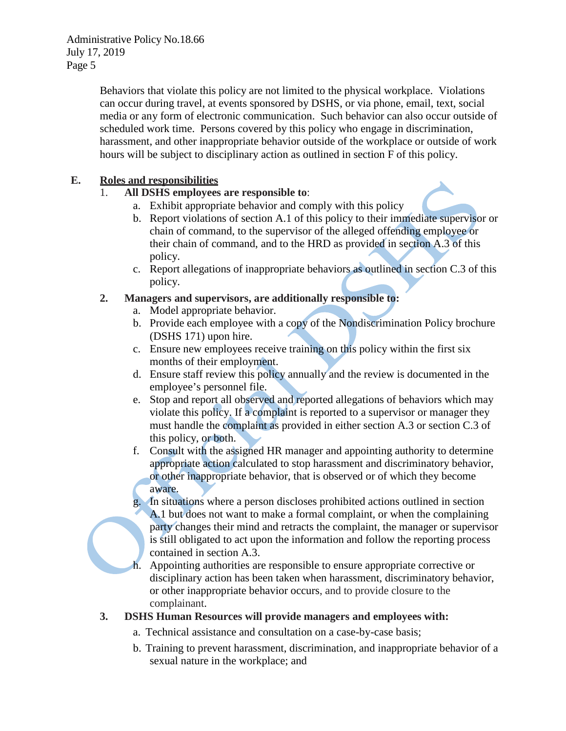Behaviors that violate this policy are not limited to the physical workplace. Violations can occur during travel, at events sponsored by DSHS, or via phone, email, text, social media or any form of electronic communication. Such behavior can also occur outside of scheduled work time. Persons covered by this policy who engage in discrimination, harassment, and other inappropriate behavior outside of the workplace or outside of work hours will be subject to disciplinary action as outlined in section F of this policy.

# **E. Roles and responsibilities**

- 1. **All DSHS employees are responsible to**:
	- a. Exhibit appropriate behavior and comply with this policy
	- b. Report violations of section A.1 of this policy to their immediate supervisor or chain of command, to the supervisor of the alleged offending employee or their chain of command, and to the HRD as provided in section A.3 of this policy.
	- c. Report allegations of inappropriate behaviors as outlined in section C.3 of this policy.
- **2. Managers and supervisors, are additionally responsible to:**
	- a. Model appropriate behavior.
	- b. Provide each employee with a copy of the [Nondiscrimination Policy](https://www.dshs.wa.gov/sites/default/files/SESA/publications/documents/22-171.pdf) brochure (DSHS 171) upon hire.
	- c. Ensure new employees receive training on this policy within the first six months of their employment.
	- d. Ensure staff review this policy annually and the review is documented in the employee's personnel file.
	- e. Stop and report all observed and reported allegations of behaviors which may violate this policy. If a complaint is reported to a supervisor or manager they must handle the complaint as provided in either section A.3 or section C.3 of this policy, or both.
	- f. Consult with the assigned HR manager and appointing authority to determine appropriate action calculated to stop harassment and discriminatory behavior, or other inappropriate behavior, that is observed or of which they become aware.
	- g. In situations where a person discloses prohibited actions outlined in section A.1 but does not want to make a formal complaint, or when the complaining party changes their mind and retracts the complaint, the manager or supervisor is still obligated to act upon the information and follow the reporting process contained in section A.3.
	- h. Appointing authorities are responsible to ensure appropriate corrective or disciplinary action has been taken when harassment, discriminatory behavior, or other inappropriate behavior occurs, and to provide closure to the complainant.
- **3. DSHS Human Resources will provide managers and employees with:**
	- a. Technical assistance and consultation on a case-by-case basis;
	- b. Training to prevent harassment, discrimination, and inappropriate behavior of a sexual nature in the workplace; and